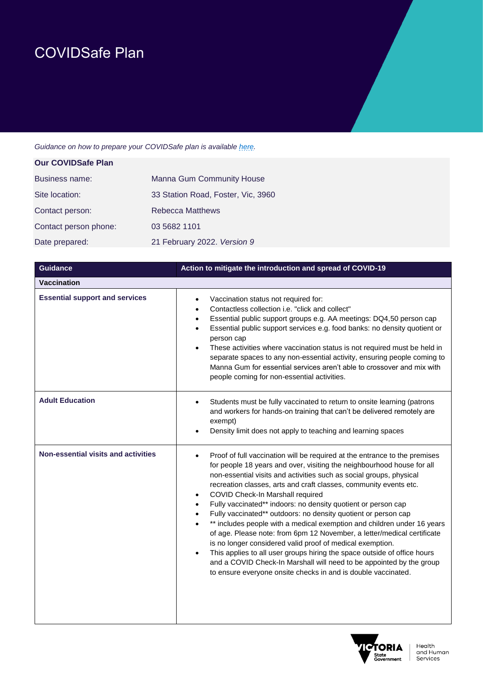# COVIDSafe Plan

*Guidance on how to prepare your COVIDSafe plan is availabl[e here.](https://www.business.vic.gov.au/disputes-disasters-and-succession-planning/covid-safe-business/covid-safe-plan)*

| <b>Our COVIDSafe Plan</b> |                                    |
|---------------------------|------------------------------------|
| Business name:            | <b>Manna Gum Community House</b>   |
| Site location:            | 33 Station Road, Foster, Vic, 3960 |
| Contact person:           | <b>Rebecca Matthews</b>            |
| Contact person phone:     | 03 5682 1101                       |
| Date prepared:            | 21 February 2022. Version 9        |

| <b>Guidance</b>                            | Action to mitigate the introduction and spread of COVID-19                                                                                                                                                                                                                                                                                                                                                                                                                                                                                                                                                                                                                                                                                                                                                                                                                                                                                                  |
|--------------------------------------------|-------------------------------------------------------------------------------------------------------------------------------------------------------------------------------------------------------------------------------------------------------------------------------------------------------------------------------------------------------------------------------------------------------------------------------------------------------------------------------------------------------------------------------------------------------------------------------------------------------------------------------------------------------------------------------------------------------------------------------------------------------------------------------------------------------------------------------------------------------------------------------------------------------------------------------------------------------------|
| <b>Vaccination</b>                         |                                                                                                                                                                                                                                                                                                                                                                                                                                                                                                                                                                                                                                                                                                                                                                                                                                                                                                                                                             |
| <b>Essential support and services</b>      | Vaccination status not required for:<br>$\bullet$<br>Contactless collection i.e. "click and collect"<br>$\bullet$<br>Essential public support groups e.g. AA meetings: DQ4,50 person cap<br>$\bullet$<br>Essential public support services e.g. food banks: no density quotient or<br>$\bullet$<br>person cap<br>These activities where vaccination status is not required must be held in<br>$\bullet$<br>separate spaces to any non-essential activity, ensuring people coming to<br>Manna Gum for essential services aren't able to crossover and mix with<br>people coming for non-essential activities.                                                                                                                                                                                                                                                                                                                                                |
| <b>Adult Education</b>                     | Students must be fully vaccinated to return to onsite learning (patrons<br>$\bullet$<br>and workers for hands-on training that can't be delivered remotely are<br>exempt)<br>Density limit does not apply to teaching and learning spaces                                                                                                                                                                                                                                                                                                                                                                                                                                                                                                                                                                                                                                                                                                                   |
| <b>Non-essential visits and activities</b> | Proof of full vaccination will be required at the entrance to the premises<br>$\bullet$<br>for people 18 years and over, visiting the neighbourhood house for all<br>non-essential visits and activities such as social groups, physical<br>recreation classes, arts and craft classes, community events etc.<br>COVID Check-In Marshall required<br>٠<br>Fully vaccinated** indoors: no density quotient or person cap<br>$\bullet$<br>Fully vaccinated** outdoors: no density quotient or person cap<br>$\bullet$<br>** includes people with a medical exemption and children under 16 years<br>of age. Please note: from 6pm 12 November, a letter/medical certificate<br>is no longer considered valid proof of medical exemption.<br>This applies to all user groups hiring the space outside of office hours<br>and a COVID Check-In Marshall will need to be appointed by the group<br>to ensure everyone onsite checks in and is double vaccinated. |

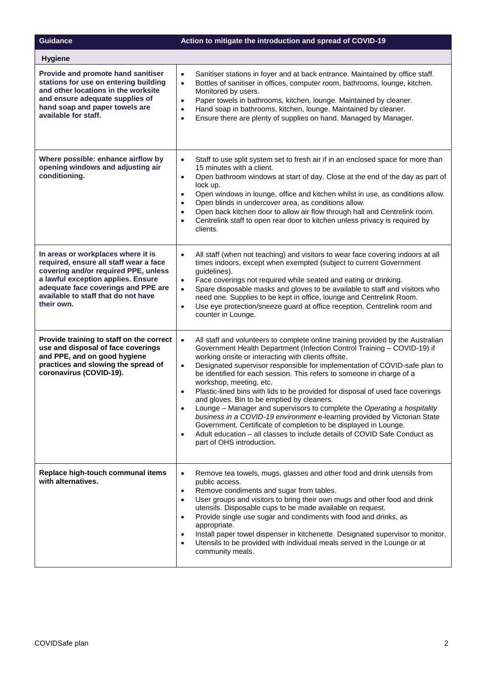| <b>Guidance</b>                                                                                                                                                                                                                                        | Action to mitigate the introduction and spread of COVID-19                                                                                                                                                                                                                                                                                                                                                                                                                                                                                                                                                                                                                                                                                                                                                                                                                                                                                   |
|--------------------------------------------------------------------------------------------------------------------------------------------------------------------------------------------------------------------------------------------------------|----------------------------------------------------------------------------------------------------------------------------------------------------------------------------------------------------------------------------------------------------------------------------------------------------------------------------------------------------------------------------------------------------------------------------------------------------------------------------------------------------------------------------------------------------------------------------------------------------------------------------------------------------------------------------------------------------------------------------------------------------------------------------------------------------------------------------------------------------------------------------------------------------------------------------------------------|
| <b>Hygiene</b>                                                                                                                                                                                                                                         |                                                                                                                                                                                                                                                                                                                                                                                                                                                                                                                                                                                                                                                                                                                                                                                                                                                                                                                                              |
| Provide and promote hand sanitiser<br>stations for use on entering building<br>and other locations in the worksite<br>and ensure adequate supplies of<br>hand soap and paper towels are<br>available for staff.                                        | Sanitiser stations in foyer and at back entrance. Maintained by office staff.<br>$\bullet$<br>Bottles of sanitiser in offices, computer room, bathrooms, lounge, kitchen.<br>$\bullet$<br>Monitored by users.<br>Paper towels in bathrooms, kitchen, lounge. Maintained by cleaner.<br>$\bullet$<br>Hand soap in bathrooms, kitchen, lounge. Maintained by cleaner.<br>$\bullet$<br>Ensure there are plenty of supplies on hand. Managed by Manager.<br>$\bullet$                                                                                                                                                                                                                                                                                                                                                                                                                                                                            |
| Where possible: enhance airflow by<br>opening windows and adjusting air<br>conditioning.                                                                                                                                                               | Staff to use split system set to fresh air if in an enclosed space for more than<br>$\bullet$<br>15 minutes with a client.<br>Open bathroom windows at start of day. Close at the end of the day as part of<br>$\bullet$<br>lock up.<br>Open windows in lounge, office and kitchen whilst in use, as conditions allow.<br>$\bullet$<br>Open blinds in undercover area, as conditions allow.<br>$\bullet$<br>Open back kitchen door to allow air flow through hall and Centrelink room.<br>$\bullet$<br>Centrelink staff to open rear door to kitchen unless privacy is required by<br>$\bullet$<br>clients.                                                                                                                                                                                                                                                                                                                                  |
| In areas or workplaces where it is<br>required, ensure all staff wear a face<br>covering and/or required PPE, unless<br>a lawful exception applies. Ensure<br>adequate face coverings and PPE are<br>available to staff that do not have<br>their own. | All staff (when not teaching) and visitors to wear face covering indoors at all<br>$\bullet$<br>times indoors, except when exempted (subject to current Government<br>guidelines).<br>Face coverings not required while seated and eating or drinking.<br>$\bullet$<br>Spare disposable masks and gloves to be available to staff and visitors who<br>$\bullet$<br>need one. Supplies to be kept in office, lounge and Centrelink Room.<br>Use eye protection/sneeze guard at office reception, Centrelink room and<br>$\bullet$<br>counter in Lounge.                                                                                                                                                                                                                                                                                                                                                                                       |
| Provide training to staff on the correct<br>use and disposal of face coverings<br>and PPE, and on good hygiene<br>practices and slowing the spread of<br>coronavirus (COVID-19).                                                                       | All staff and volunteers to complete online training provided by the Australian<br>$\bullet$<br>Government Health Department (Infection Control Training - COVID-19) if<br>working onsite or interacting with clients offsite.<br>Designated supervisor responsible for implementation of COVID-safe plan to<br>$\bullet$<br>be identified for each session. This refers to someone in charge of a<br>workshop, meeting, etc.<br>Plastic-lined bins with lids to be provided for disposal of used face coverings<br>$\bullet$<br>and gloves. Bin to be emptied by cleaners.<br>Lounge - Manager and supervisors to complete the Operating a hospitality<br>$\bullet$<br>business in a COVID-19 environment e-learning provided by Victorian State<br>Government. Certificate of completion to be displayed in Lounge.<br>Adult education - all classes to include details of COVID Safe Conduct as<br>$\bullet$<br>part of OHS introduction. |
| Replace high-touch communal items<br>with alternatives.                                                                                                                                                                                                | Remove tea towels, mugs, glasses and other food and drink utensils from<br>$\bullet$<br>public access.<br>Remove condiments and sugar from tables.<br>$\bullet$<br>User groups and visitors to bring their own mugs and other food and drink<br>$\bullet$<br>utensils. Disposable cups to be made available on request.<br>Provide single use sugar and condiments with food and drinks, as<br>$\bullet$<br>appropriate.<br>Install paper towel dispenser in kitchenette. Designated supervisor to monitor.<br>$\bullet$<br>Utensils to be provided with individual meals served in the Lounge or at<br>$\bullet$<br>community meals.                                                                                                                                                                                                                                                                                                        |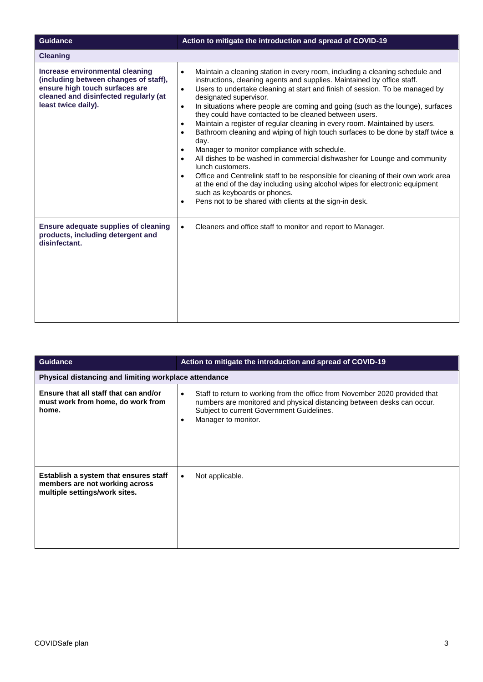| <b>Guidance</b>                                                                                                                                                            | Action to mitigate the introduction and spread of COVID-19                                                                                                                                                                                                                                                                                                                                                                                                                                                                                                                                                                                                                                                                                                                                                                                                                                                                                                                                                                                                                                                                    |
|----------------------------------------------------------------------------------------------------------------------------------------------------------------------------|-------------------------------------------------------------------------------------------------------------------------------------------------------------------------------------------------------------------------------------------------------------------------------------------------------------------------------------------------------------------------------------------------------------------------------------------------------------------------------------------------------------------------------------------------------------------------------------------------------------------------------------------------------------------------------------------------------------------------------------------------------------------------------------------------------------------------------------------------------------------------------------------------------------------------------------------------------------------------------------------------------------------------------------------------------------------------------------------------------------------------------|
| <b>Cleaning</b>                                                                                                                                                            |                                                                                                                                                                                                                                                                                                                                                                                                                                                                                                                                                                                                                                                                                                                                                                                                                                                                                                                                                                                                                                                                                                                               |
| Increase environmental cleaning<br>(including between changes of staff),<br>ensure high touch surfaces are<br>cleaned and disinfected regularly (at<br>least twice daily). | Maintain a cleaning station in every room, including a cleaning schedule and<br>$\bullet$<br>instructions, cleaning agents and supplies. Maintained by office staff.<br>Users to undertake cleaning at start and finish of session. To be managed by<br>$\bullet$<br>designated supervisor.<br>In situations where people are coming and going (such as the lounge), surfaces<br>$\bullet$<br>they could have contacted to be cleaned between users.<br>Maintain a register of regular cleaning in every room. Maintained by users.<br>$\bullet$<br>Bathroom cleaning and wiping of high touch surfaces to be done by staff twice a<br>$\bullet$<br>day.<br>Manager to monitor compliance with schedule.<br>$\bullet$<br>All dishes to be washed in commercial dishwasher for Lounge and community<br>$\bullet$<br>lunch customers.<br>Office and Centrelink staff to be responsible for cleaning of their own work area<br>$\bullet$<br>at the end of the day including using alcohol wipes for electronic equipment<br>such as keyboards or phones.<br>Pens not to be shared with clients at the sign-in desk.<br>$\bullet$ |
| <b>Ensure adequate supplies of cleaning</b><br>products, including detergent and<br>disinfectant.                                                                          | Cleaners and office staff to monitor and report to Manager.<br>$\bullet$                                                                                                                                                                                                                                                                                                                                                                                                                                                                                                                                                                                                                                                                                                                                                                                                                                                                                                                                                                                                                                                      |

| <b>Guidance</b>                                                                                          | Action to mitigate the introduction and spread of COVID-19                                                                                                                                                                                          |
|----------------------------------------------------------------------------------------------------------|-----------------------------------------------------------------------------------------------------------------------------------------------------------------------------------------------------------------------------------------------------|
| Physical distancing and limiting workplace attendance                                                    |                                                                                                                                                                                                                                                     |
| Ensure that all staff that can and/or<br>must work from home, do work from<br>home.                      | Staff to return to working from the office from November 2020 provided that<br>$\bullet$<br>numbers are monitored and physical distancing between desks can occur.<br>Subject to current Government Guidelines.<br>Manager to monitor.<br>$\bullet$ |
| Establish a system that ensures staff<br>members are not working across<br>multiple settings/work sites. | Not applicable.<br>$\bullet$                                                                                                                                                                                                                        |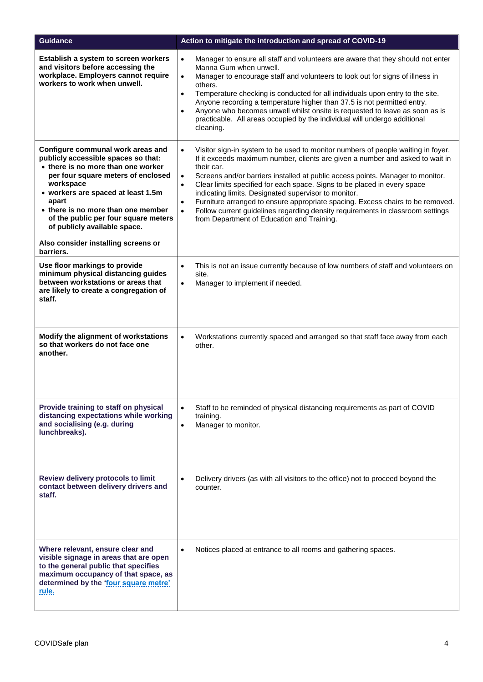| <b>Guidance</b>                                                                                                                                                                                                                                                                                                                                                       | Action to mitigate the introduction and spread of COVID-19                                                                                                                                                                                                                                                                                                                                                                                                                                                                                                                                                                                                                               |
|-----------------------------------------------------------------------------------------------------------------------------------------------------------------------------------------------------------------------------------------------------------------------------------------------------------------------------------------------------------------------|------------------------------------------------------------------------------------------------------------------------------------------------------------------------------------------------------------------------------------------------------------------------------------------------------------------------------------------------------------------------------------------------------------------------------------------------------------------------------------------------------------------------------------------------------------------------------------------------------------------------------------------------------------------------------------------|
| Establish a system to screen workers<br>and visitors before accessing the<br>workplace. Employers cannot require<br>workers to work when unwell.                                                                                                                                                                                                                      | Manager to ensure all staff and volunteers are aware that they should not enter<br>$\bullet$<br>Manna Gum when unwell.<br>Manager to encourage staff and volunteers to look out for signs of illness in<br>$\bullet$<br>others.<br>Temperature checking is conducted for all individuals upon entry to the site.<br>$\bullet$<br>Anyone recording a temperature higher than 37.5 is not permitted entry.<br>Anyone who becomes unwell whilst onsite is requested to leave as soon as is<br>$\bullet$<br>practicable. All areas occupied by the individual will undergo additional<br>cleaning.                                                                                           |
| Configure communal work areas and<br>publicly accessible spaces so that:<br>• there is no more than one worker<br>per four square meters of enclosed<br>workspace<br>• workers are spaced at least 1.5m<br>apart<br>• there is no more than one member<br>of the public per four square meters<br>of publicly available space.<br>Also consider installing screens or | $\bullet$<br>Visitor sign-in system to be used to monitor numbers of people waiting in foyer.<br>If it exceeds maximum number, clients are given a number and asked to wait in<br>their car.<br>Screens and/or barriers installed at public access points. Manager to monitor.<br>$\bullet$<br>Clear limits specified for each space. Signs to be placed in every space<br>$\bullet$<br>indicating limits. Designated supervisor to monitor.<br>Furniture arranged to ensure appropriate spacing. Excess chairs to be removed.<br>$\bullet$<br>Follow current guidelines regarding density requirements in classroom settings<br>$\bullet$<br>from Department of Education and Training. |
| barriers.<br>Use floor markings to provide<br>minimum physical distancing guides<br>between workstations or areas that<br>are likely to create a congregation of<br>staff.                                                                                                                                                                                            | This is not an issue currently because of low numbers of staff and volunteers on<br>$\bullet$<br>site.<br>Manager to implement if needed.<br>$\bullet$                                                                                                                                                                                                                                                                                                                                                                                                                                                                                                                                   |
| Modify the alignment of workstations<br>so that workers do not face one<br>another.                                                                                                                                                                                                                                                                                   | Workstations currently spaced and arranged so that staff face away from each<br>$\bullet$<br>other.                                                                                                                                                                                                                                                                                                                                                                                                                                                                                                                                                                                      |
| Provide training to staff on physical<br>distancing expectations while working<br>and socialising (e.g. during<br>lunchbreaks).                                                                                                                                                                                                                                       | Staff to be reminded of physical distancing requirements as part of COVID<br>$\bullet$<br>training.<br>Manager to monitor.<br>$\bullet$                                                                                                                                                                                                                                                                                                                                                                                                                                                                                                                                                  |
| Review delivery protocols to limit<br>contact between delivery drivers and<br>staff.                                                                                                                                                                                                                                                                                  | Delivery drivers (as with all visitors to the office) not to proceed beyond the<br>$\bullet$<br>counter.                                                                                                                                                                                                                                                                                                                                                                                                                                                                                                                                                                                 |
| Where relevant, ensure clear and<br>visible signage in areas that are open<br>to the general public that specifies<br>maximum occupancy of that space, as<br>determined by the 'four square metre'<br>rule.                                                                                                                                                           | Notices placed at entrance to all rooms and gathering spaces.<br>$\bullet$                                                                                                                                                                                                                                                                                                                                                                                                                                                                                                                                                                                                               |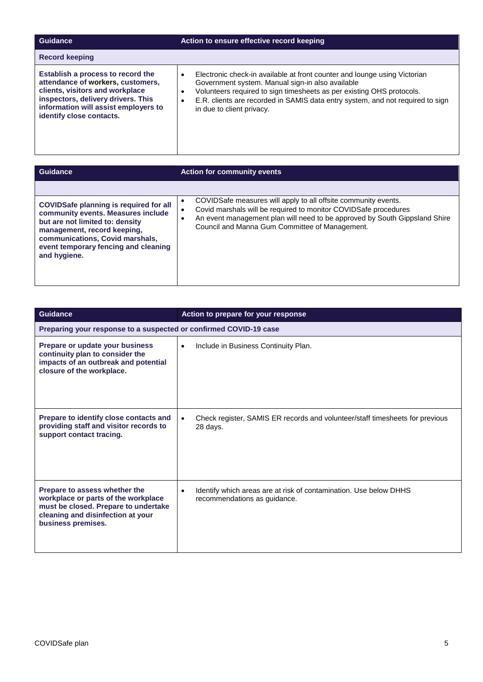| Guidance                                                                                                                                                                                                            | Action to ensure effective record keeping                                                                                                                                                                                                                                                                                       |
|---------------------------------------------------------------------------------------------------------------------------------------------------------------------------------------------------------------------|---------------------------------------------------------------------------------------------------------------------------------------------------------------------------------------------------------------------------------------------------------------------------------------------------------------------------------|
| <b>Record keeping</b>                                                                                                                                                                                               |                                                                                                                                                                                                                                                                                                                                 |
| Establish a process to record the<br>attendance of workers, customers,<br>clients, visitors and workplace<br>inspectors, delivery drivers. This<br>information will assist employers to<br>identify close contacts. | Electronic check-in available at front counter and lounge using Victorian<br>Government system. Manual sign-in also available<br>Volunteers required to sign timesheets as per existing OHS protocols.<br>٠<br>E.R. clients are recorded in SAMIS data entry system, and not required to sign<br>٠<br>in due to client privacy. |
|                                                                                                                                                                                                                     |                                                                                                                                                                                                                                                                                                                                 |
| Guidance                                                                                                                                                                                                            | <b>Action for community events</b>                                                                                                                                                                                                                                                                                              |
|                                                                                                                                                                                                                     |                                                                                                                                                                                                                                                                                                                                 |

• COVIDSafe measures will apply to all offsite community events. • Covid marshals will be required to monitor COVIDSafe procedures

Council and Manna Gum Committee of Management.

• An event management plan will need to be approved by South Gippsland Shire

| <b>Guidance</b>                                                                                                                                                         | Action to prepare for your response                                                                            |
|-------------------------------------------------------------------------------------------------------------------------------------------------------------------------|----------------------------------------------------------------------------------------------------------------|
| Preparing your response to a suspected or confirmed COVID-19 case                                                                                                       |                                                                                                                |
| Prepare or update your business<br>continuity plan to consider the<br>impacts of an outbreak and potential<br>closure of the workplace.                                 | Include in Business Continuity Plan.<br>$\bullet$                                                              |
| Prepare to identify close contacts and<br>providing staff and visitor records to<br>support contact tracing.                                                            | Check register, SAMIS ER records and volunteer/staff timesheets for previous<br>$\bullet$<br>28 days.          |
| Prepare to assess whether the<br>workplace or parts of the workplace<br>must be closed. Prepare to undertake<br>cleaning and disinfection at your<br>business premises. | Identify which areas are at risk of contamination. Use below DHHS<br>$\bullet$<br>recommendations as guidance. |

**COVIDSafe planning is required for all community events. Measures include but are not limited to: density management, record keeping, communications, Covid marshals, event temporary fencing and cleaning** 

**and hygiene.**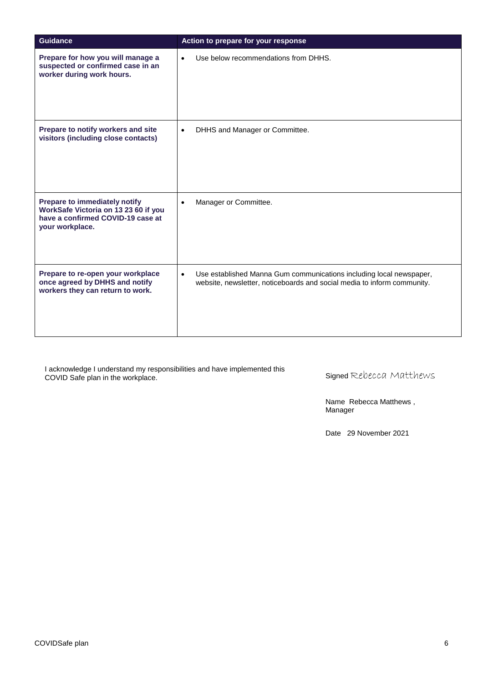| <b>Guidance</b>                                                                                                               | Action to prepare for your response                                                                                                                         |
|-------------------------------------------------------------------------------------------------------------------------------|-------------------------------------------------------------------------------------------------------------------------------------------------------------|
| Prepare for how you will manage a<br>suspected or confirmed case in an<br>worker during work hours.                           | Use below recommendations from DHHS.<br>$\bullet$                                                                                                           |
| Prepare to notify workers and site<br>visitors (including close contacts)                                                     | DHHS and Manager or Committee.<br>$\bullet$                                                                                                                 |
| Prepare to immediately notify<br>WorkSafe Victoria on 13 23 60 if you<br>have a confirmed COVID-19 case at<br>your workplace. | Manager or Committee.<br>$\bullet$                                                                                                                          |
| Prepare to re-open your workplace<br>once agreed by DHHS and notify<br>workers they can return to work.                       | Use established Manna Gum communications including local newspaper,<br>$\bullet$<br>website, newsletter, noticeboards and social media to inform community. |

I acknowledge I understand my responsibilities and have implemented this COVID Safe plan in the workplace.

Signed Rebecca Matthews

Name Rebecca Matthews , Manager

Date 29 November 2021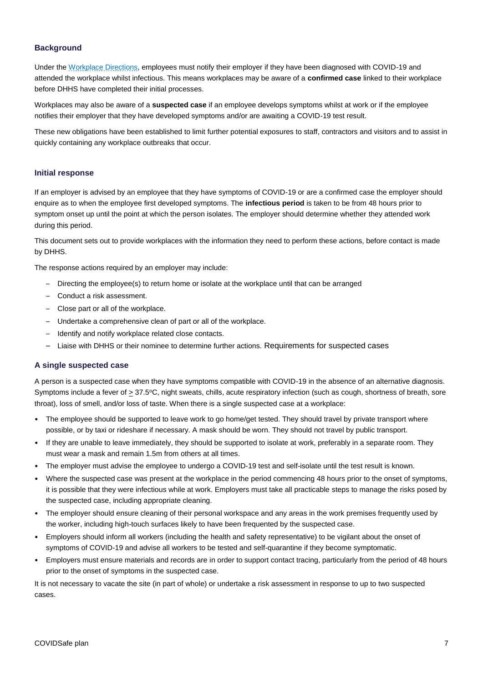## **Background**

Under th[e Workplace Directions,](https://www.dhhs.vic.gov.au/workplace-directions-accessible) employees must notify their employer if they have been diagnosed with COVID-19 and attended the workplace whilst infectious. This means workplaces may be aware of a **confirmed case** linked to their workplace before DHHS have completed their initial processes.

Workplaces may also be aware of a **suspected case** if an employee develops symptoms whilst at work or if the employee notifies their employer that they have developed symptoms and/or are awaiting a COVID-19 test result.

These new obligations have been established to limit further potential exposures to staff, contractors and visitors and to assist in quickly containing any workplace outbreaks that occur.

## **Initial response**

If an employer is advised by an employee that they have symptoms of COVID-19 or are a confirmed case the employer should enquire as to when the employee first developed symptoms. The **infectious period** is taken to be from 48 hours prior to symptom onset up until the point at which the person isolates. The employer should determine whether they attended work during this period.

This document sets out to provide workplaces with the information they need to perform these actions, before contact is made by DHHS.

The response actions required by an employer may include:

- Directing the employee(s) to return home or isolate at the workplace until that can be arranged
- Conduct a risk assessment.
- Close part or all of the workplace.
- Undertake a comprehensive clean of part or all of the workplace.
- Identify and notify workplace related close contacts.
- Liaise with DHHS or their nominee to determine further actions. Requirements for suspected cases

#### **A single suspected case**

A person is a suspected case when they have symptoms compatible with COVID-19 in the absence of an alternative diagnosis. Symptoms include a fever of  $\geq 37.5$ °C, night sweats, chills, acute respiratory infection (such as cough, shortness of breath, sore throat), loss of smell, and/or loss of taste. When there is a single suspected case at a workplace:

- The employee should be supported to leave work to go home/get tested. They should travel by private transport where possible, or by taxi or rideshare if necessary. A mask should be worn. They should not travel by public transport.
- If they are unable to leave immediately, they should be supported to isolate at work, preferably in a separate room. They must wear a mask and remain 1.5m from others at all times.
- The employer must advise the employee to undergo a COVID-19 test and self-isolate until the test result is known.
- Where the suspected case was present at the workplace in the period commencing 48 hours prior to the onset of symptoms, it is possible that they were infectious while at work. Employers must take all practicable steps to manage the risks posed by the suspected case, including appropriate cleaning.
- The employer should ensure cleaning of their personal workspace and any areas in the work premises frequently used by the worker, including high-touch surfaces likely to have been frequented by the suspected case.
- Employers should inform all workers (including the health and safety representative) to be vigilant about the onset of symptoms of COVID-19 and advise all workers to be tested and self-quarantine if they become symptomatic.
- Employers must ensure materials and records are in order to support contact tracing, particularly from the period of 48 hours prior to the onset of symptoms in the suspected case.

It is not necessary to vacate the site (in part of whole) or undertake a risk assessment in response to up to two suspected cases.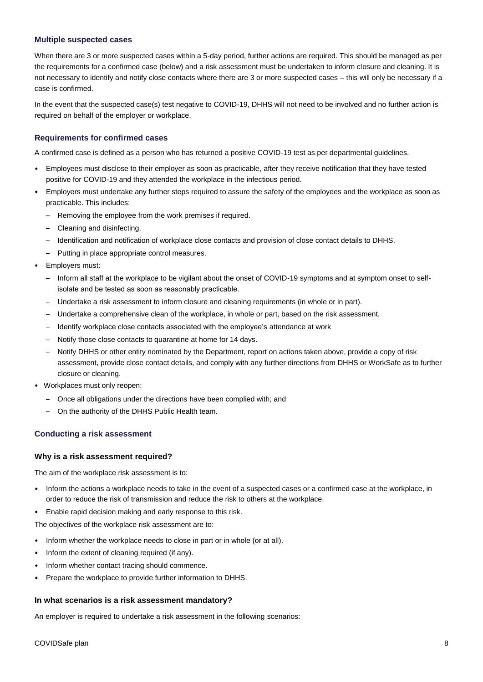## **Multiple suspected cases**

When there are 3 or more suspected cases within a 5-day period, further actions are required. This should be managed as per the requirements for a confirmed case (below) and a risk assessment must be undertaken to inform closure and cleaning. It is not necessary to identify and notify close contacts where there are 3 or more suspected cases – this will only be necessary if a case is confirmed.

In the event that the suspected case(s) test negative to COVID-19, DHHS will not need to be involved and no further action is required on behalf of the employer or workplace.

## **Requirements for confirmed cases**

A confirmed case is defined as a person who has returned a positive COVID-19 test as per departmental guidelines.

- Employees must disclose to their employer as soon as practicable, after they receive notification that they have tested positive for COVID-19 and they attended the workplace in the infectious period.
- Employers must undertake any further steps required to assure the safety of the employees and the workplace as soon as practicable. This includes:
	- Removing the employee from the work premises if required.
	- Cleaning and disinfecting.
	- Identification and notification of workplace close contacts and provision of close contact details to DHHS.
	- Putting in place appropriate control measures.
- Employers must:
	- Inform all staff at the workplace to be vigilant about the onset of COVID-19 symptoms and at symptom onset to selfisolate and be tested as soon as reasonably practicable.
	- Undertake a risk assessment to inform closure and cleaning requirements (in whole or in part).
	- Undertake a comprehensive clean of the workplace, in whole or part, based on the risk assessment.
	- Identify workplace close contacts associated with the employee's attendance at work
	- Notify those close contacts to quarantine at home for 14 days.
	- Notify DHHS or other entity nominated by the Department, report on actions taken above, provide a copy of risk assessment, provide close contact details, and comply with any further directions from DHHS or WorkSafe as to further closure or cleaning.
- Workplaces must only reopen:
	- Once all obligations under the directions have been complied with; and
	- On the authority of the DHHS Public Health team.

#### **Conducting a risk assessment**

#### **Why is a risk assessment required?**

The aim of the workplace risk assessment is to:

- Inform the actions a workplace needs to take in the event of a suspected cases or a confirmed case at the workplace, in order to reduce the risk of transmission and reduce the risk to others at the workplace.
- Enable rapid decision making and early response to this risk.

The objectives of the workplace risk assessment are to:

- Inform whether the workplace needs to close in part or in whole (or at all).
- Inform the extent of cleaning required (if any).
- Inform whether contact tracing should commence.
- Prepare the workplace to provide further information to DHHS.

#### **In what scenarios is a risk assessment mandatory?**

An employer is required to undertake a risk assessment in the following scenarios: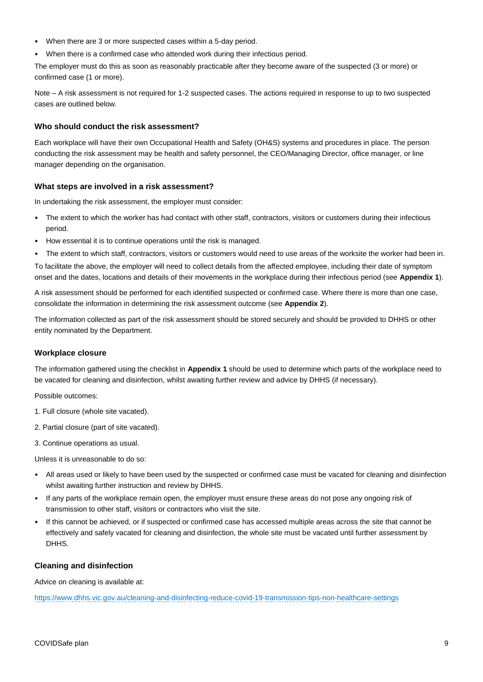- When there are 3 or more suspected cases within a 5-day period.
- When there is a confirmed case who attended work during their infectious period.

The employer must do this as soon as reasonably practicable after they become aware of the suspected (3 or more) or confirmed case (1 or more).

Note – A risk assessment is not required for 1-2 suspected cases. The actions required in response to up to two suspected cases are outlined below.

#### **Who should conduct the risk assessment?**

Each workplace will have their own Occupational Health and Safety (OH&S) systems and procedures in place. The person conducting the risk assessment may be health and safety personnel, the CEO/Managing Director, office manager, or line manager depending on the organisation.

#### **What steps are involved in a risk assessment?**

In undertaking the risk assessment, the employer must consider:

- The extent to which the worker has had contact with other staff, contractors, visitors or customers during their infectious period.
- How essential it is to continue operations until the risk is managed.
- The extent to which staff, contractors, visitors or customers would need to use areas of the worksite the worker had been in.

To facilitate the above, the employer will need to collect details from the affected employee, including their date of symptom onset and the dates, locations and details of their movements in the workplace during their infectious period (see **Appendix 1**).

A risk assessment should be performed for each identified suspected or confirmed case. Where there is more than one case, consolidate the information in determining the risk assessment outcome (see **Appendix 2**).

The information collected as part of the risk assessment should be stored securely and should be provided to DHHS or other entity nominated by the Department.

#### **Workplace closure**

The information gathered using the checklist in **Appendix 1** should be used to determine which parts of the workplace need to be vacated for cleaning and disinfection, whilst awaiting further review and advice by DHHS (if necessary).

Possible outcomes:

- 1. Full closure (whole site vacated).
- 2. Partial closure (part of site vacated).
- 3. Continue operations as usual.

Unless it is unreasonable to do so:

- All areas used or likely to have been used by the suspected or confirmed case must be vacated for cleaning and disinfection whilst awaiting further instruction and review by DHHS.
- If any parts of the workplace remain open, the employer must ensure these areas do not pose any ongoing risk of transmission to other staff, visitors or contractors who visit the site.
- If this cannot be achieved, or if suspected or confirmed case has accessed multiple areas across the site that cannot be effectively and safely vacated for cleaning and disinfection, the whole site must be vacated until further assessment by DHHS.

#### **Cleaning and disinfection**

Advice on cleaning is available at:

<https://www.dhhs.vic.gov.au/cleaning-and-disinfecting-reduce-covid-19-transmission-tips-non-healthcare-settings>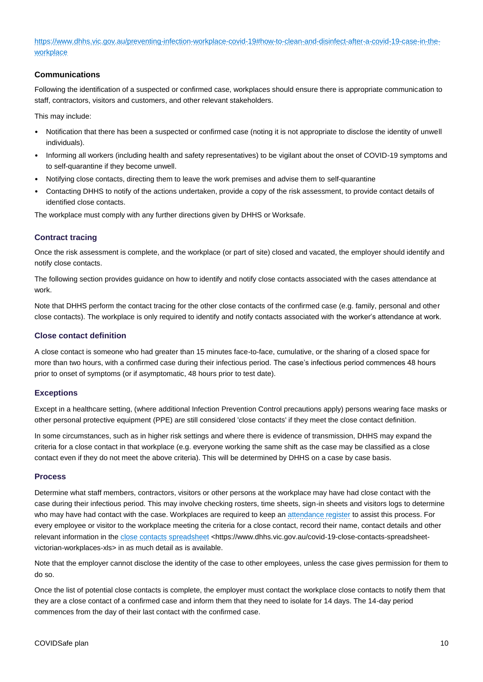[https://www.dhhs.vic.gov.au/preventing-infection-workplace-covid-19#how-to-clean-and-disinfect-after-a-covid-19-case-in-the](https://www.dhhs.vic.gov.au/preventing-infection-workplace-covid-19#how-to-clean-and-disinfect-after-a-covid-19-case-in-the-workplace)[workplace](https://www.dhhs.vic.gov.au/preventing-infection-workplace-covid-19#how-to-clean-and-disinfect-after-a-covid-19-case-in-the-workplace)

## **Communications**

Following the identification of a suspected or confirmed case, workplaces should ensure there is appropriate communication to staff, contractors, visitors and customers, and other relevant stakeholders.

This may include:

- Notification that there has been a suspected or confirmed case (noting it is not appropriate to disclose the identity of unwell individuals).
- Informing all workers (including health and safety representatives) to be vigilant about the onset of COVID-19 symptoms and to self-quarantine if they become unwell.
- Notifying close contacts, directing them to leave the work premises and advise them to self-quarantine
- Contacting DHHS to notify of the actions undertaken, provide a copy of the risk assessment, to provide contact details of identified close contacts.

The workplace must comply with any further directions given by DHHS or Worksafe.

## **Contract tracing**

Once the risk assessment is complete, and the workplace (or part of site) closed and vacated, the employer should identify and notify close contacts.

The following section provides guidance on how to identify and notify close contacts associated with the cases attendance at work.

Note that DHHS perform the contact tracing for the other close contacts of the confirmed case (e.g. family, personal and other close contacts). The workplace is only required to identify and notify contacts associated with the worker's attendance at work.

#### **Close contact definition**

A close contact is someone who had greater than 15 minutes face-to-face, cumulative, or the sharing of a closed space for more than two hours, with a confirmed case during their infectious period. The case's infectious period commences 48 hours prior to onset of symptoms (or if asymptomatic, 48 hours prior to test date).

## **Exceptions**

Except in a healthcare setting, (where additional Infection Prevention Control precautions apply) persons wearing face masks or other personal protective equipment (PPE) are still considered 'close contacts' if they meet the close contact definition.

In some circumstances, such as in higher risk settings and where there is evidence of transmission, DHHS may expand the criteria for a close contact in that workplace (e.g. everyone working the same shift as the case may be classified as a close contact even if they do not meet the above criteria). This will be determined by DHHS on a case by case basis.

#### **Process**

Determine what staff members, contractors, visitors or other persons at the workplace may have had close contact with the case during their infectious period. This may involve checking rosters, time sheets, sign-in sheets and visitors logs to determine who may have had contact with the case. Workplaces are required to keep a[n attendance register](https://www.business.vic.gov.au/__data/assets/word_doc/0006/1920723/COVID-workplace-attendance-register.docx) to assist this process. For every employee or visitor to the workplace meeting the criteria for a close contact, record their name, contact details and other relevant information in th[e close contacts spreadsheet](https://www.dhhs.vic.gov.au/covid-19-close-contacts-spreadsheet-victorian-workplaces-xls) <https://www.dhhs.vic.gov.au/covid-19-close-contacts-spreadsheetvictorian-workplaces-xls> in as much detail as is available.

Note that the employer cannot disclose the identity of the case to other employees, unless the case gives permission for them to do so.

Once the list of potential close contacts is complete, the employer must contact the workplace close contacts to notify them that they are a close contact of a confirmed case and inform them that they need to isolate for 14 days. The 14-day period commences from the day of their last contact with the confirmed case.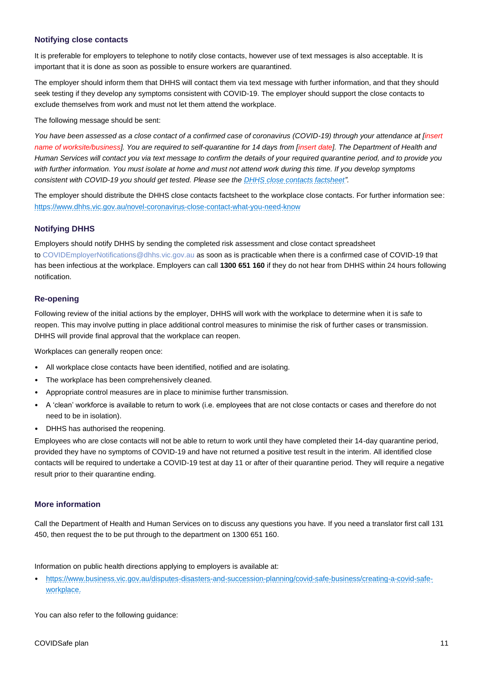## **Notifying close contacts**

It is preferable for employers to telephone to notify close contacts, however use of text messages is also acceptable. It is important that it is done as soon as possible to ensure workers are quarantined.

The employer should inform them that DHHS will contact them via text message with further information, and that they should seek testing if they develop any symptoms consistent with COVID-19. The employer should support the close contacts to exclude themselves from work and must not let them attend the workplace.

The following message should be sent:

*You have been assessed as a close contact of a confirmed case of coronavirus (COVID-19) through your attendance at [insert name of worksite/business]. You are required to self-quarantine for 14 days from [insert date]. The Department of Health and Human Services will contact you via text message to confirm the details of your required quarantine period, and to provide you with further information. You must isolate at home and must not attend work during this time. If you develop symptoms consistent with COVID-19 you should get tested. Please see th[e DHHS close contacts factsheet"](https://www.dhhs.vic.gov.au/novel-coronavirus-close-contact-what-you-need-know).*

The employer should distribute the DHHS close contacts factsheet to the workplace close contacts. For further information see: <https://www.dhhs.vic.gov.au/novel-coronavirus-close-contact-what-you-need-know>

## **Notifying DHHS**

Employers should notify DHHS by sending the completed risk assessment and close contact spreadsheet to [COVIDEmployerNotifications@dhhs.vic.gov.au](mailto:COVIDEmployerNotifications@dhhs.vic.gov.au) as soon as is practicable when there is a confirmed case of COVID-19 that has been infectious at the workplace. Employers can call **1300 651 160** if they do not hear from DHHS within 24 hours following notification.

## **Re-opening**

Following review of the initial actions by the employer, DHHS will work with the workplace to determine when it is safe to reopen. This may involve putting in place additional control measures to minimise the risk of further cases or transmission. DHHS will provide final approval that the workplace can reopen.

Workplaces can generally reopen once:

- All workplace close contacts have been identified, notified and are isolating.
- The workplace has been comprehensively cleaned.
- Appropriate control measures are in place to minimise further transmission.
- A 'clean' workforce is available to return to work (i.e. employees that are not close contacts or cases and therefore do not need to be in isolation).
- DHHS has authorised the reopening.

Employees who are close contacts will not be able to return to work until they have completed their 14-day quarantine period, provided they have no symptoms of COVID-19 and have not returned a positive test result in the interim. All identified close contacts will be required to undertake a COVID-19 test at day 11 or after of their quarantine period. They will require a negative result prior to their quarantine ending.

## **More information**

Call the Department of Health and Human Services on to discuss any questions you have. If you need a translator first call 131 450, then request the to be put through to the department on 1300 651 160.

Information on public health directions applying to employers is available at:

• [https://www.business.vic.gov.au/disputes-disasters-and-succession-planning/covid-safe-business/creating-a-covid-safe](https://www.business.vic.gov.au/disputes-disasters-and-succession-planning/covid-safe-business/creating-a-covid-safe-workplace)[workplace.](https://www.business.vic.gov.au/disputes-disasters-and-succession-planning/covid-safe-business/creating-a-covid-safe-workplace)

You can also refer to the following guidance: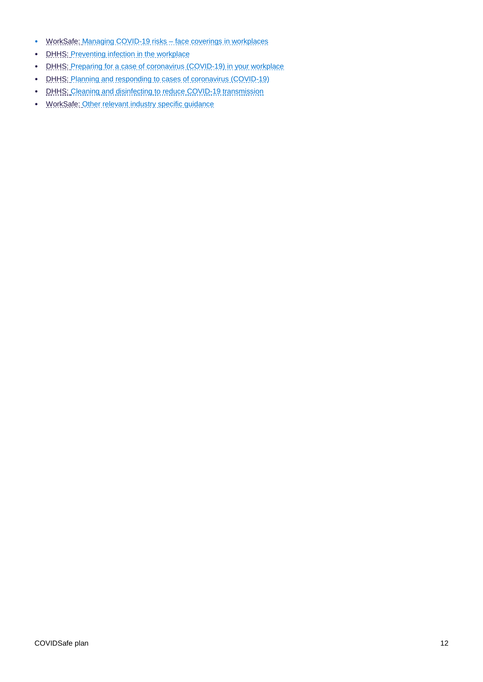- [WorkSafe: Managing COVID-19 risks –](https://www.worksafe.vic.gov.au/managing-coronavirus-covid-19-risks-face-coverings-workplaces) face coverings in workplaces
- [DHHS: Preventing](https://www.dhhs.vic.gov.au/preventing-infection-workplace-covid-19) infection in the workplace
- DHHS: Preparing for a case of coronavirus [\(COVID-19\)](https://www.dhhs.vic.gov.au/sites/default/files/documents/202007/preparing-for-a-case-of-covid-19-in%20your-workplace-guidance-covid-19.docx) in your workplace
- DHHS: Planning and responding to cases of coronavirus [\(COVID-19\)](https://www.dhhs.vic.gov.au/planning-and-responding-coronavirus-covid-19)
- DHHS: Cleaning and disinfecting to reduce COVID-19 [transmission](https://www.dhhs.vic.gov.au/cleaning-and-disinfecting-reduce-covid-19-transmission-tips-non-healthcare-settings)
- WorkSafe: [Other relevant industry specific guidance](https://www.worksafe.vic.gov.au/coronavirus-covid-19)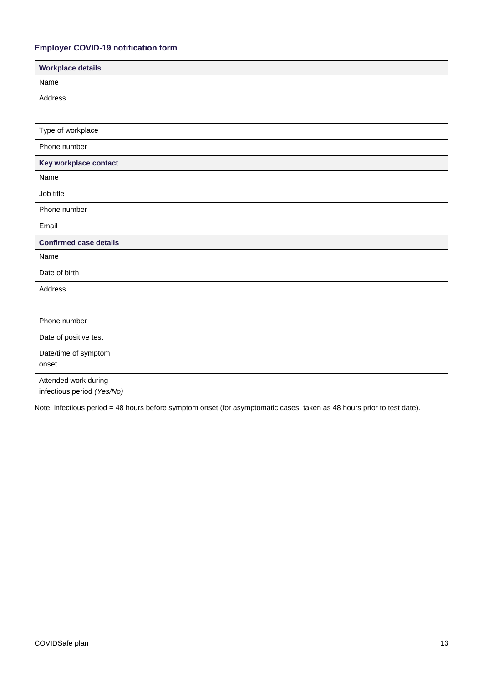## **Employer COVID-19 notification form**

| <b>Workplace details</b>      |  |
|-------------------------------|--|
| Name                          |  |
| Address                       |  |
|                               |  |
| Type of workplace             |  |
| Phone number                  |  |
| Key workplace contact         |  |
| Name                          |  |
| Job title                     |  |
| Phone number                  |  |
| Email                         |  |
| <b>Confirmed case details</b> |  |
| Name                          |  |
| Date of birth                 |  |
| Address                       |  |
|                               |  |
| Phone number                  |  |
| Date of positive test         |  |
| Date/time of symptom          |  |
| onset                         |  |
| Attended work during          |  |
| infectious period (Yes/No)    |  |

Note: infectious period = 48 hours before symptom onset (for asymptomatic cases, taken as 48 hours prior to test date).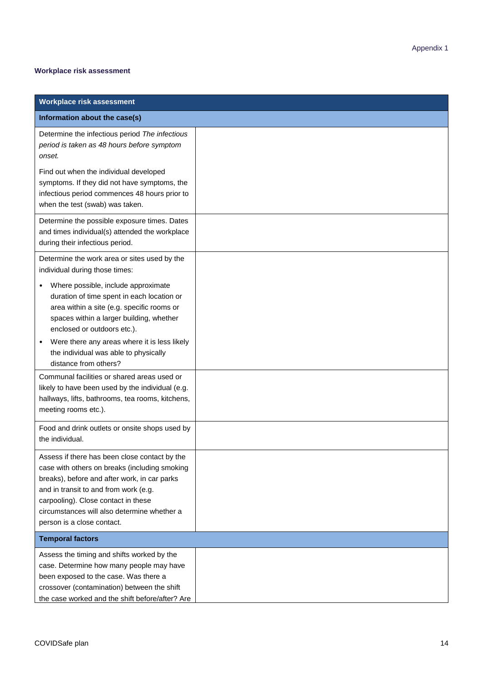## **Workplace risk assessment**

| <b>Workplace risk assessment</b>                                                                                                                                                                                                                                                                                             |  |
|------------------------------------------------------------------------------------------------------------------------------------------------------------------------------------------------------------------------------------------------------------------------------------------------------------------------------|--|
| Information about the case(s)                                                                                                                                                                                                                                                                                                |  |
| Determine the infectious period The infectious<br>period is taken as 48 hours before symptom<br>onset.                                                                                                                                                                                                                       |  |
| Find out when the individual developed<br>symptoms. If they did not have symptoms, the<br>infectious period commences 48 hours prior to<br>when the test (swab) was taken.                                                                                                                                                   |  |
| Determine the possible exposure times. Dates<br>and times individual(s) attended the workplace<br>during their infectious period.                                                                                                                                                                                            |  |
| Determine the work area or sites used by the<br>individual during those times:                                                                                                                                                                                                                                               |  |
| Where possible, include approximate<br>duration of time spent in each location or<br>area within a site (e.g. specific rooms or<br>spaces within a larger building, whether<br>enclosed or outdoors etc.).<br>Were there any areas where it is less likely<br>the individual was able to physically<br>distance from others? |  |
| Communal facilities or shared areas used or<br>likely to have been used by the individual (e.g.<br>hallways, lifts, bathrooms, tea rooms, kitchens,<br>meeting rooms etc.).                                                                                                                                                  |  |
| Food and drink outlets or onsite shops used by<br>the individual.                                                                                                                                                                                                                                                            |  |
| Assess if there has been close contact by the<br>case with others on breaks (including smoking<br>breaks), before and after work, in car parks<br>and in transit to and from work (e.g.<br>carpooling). Close contact in these<br>circumstances will also determine whether a<br>person is a close contact.                  |  |
| <b>Temporal factors</b>                                                                                                                                                                                                                                                                                                      |  |
| Assess the timing and shifts worked by the<br>case. Determine how many people may have<br>been exposed to the case. Was there a<br>crossover (contamination) between the shift<br>the case worked and the shift before/after? Are                                                                                            |  |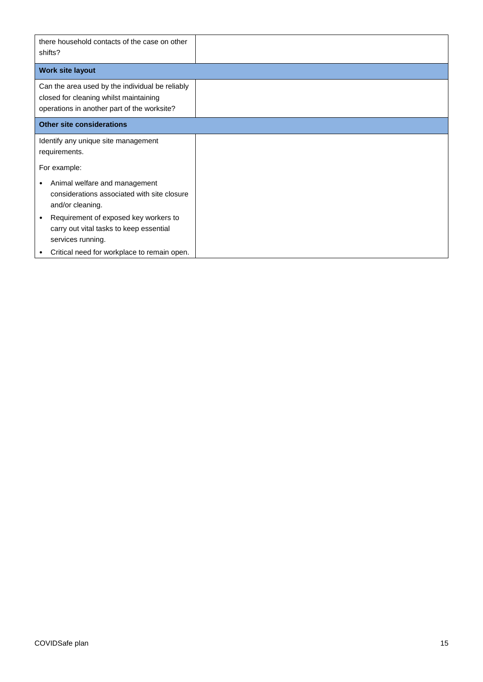| there household contacts of the case on other<br>shifts?                                                                                 |  |
|------------------------------------------------------------------------------------------------------------------------------------------|--|
| <b>Work site layout</b>                                                                                                                  |  |
| Can the area used by the individual be reliably<br>closed for cleaning whilst maintaining<br>operations in another part of the worksite? |  |
| <b>Other site considerations</b>                                                                                                         |  |
| Identify any unique site management<br>requirements.                                                                                     |  |
| For example:                                                                                                                             |  |
| Animal welfare and management<br>٠<br>considerations associated with site closure<br>and/or cleaning.                                    |  |
| Requirement of exposed key workers to<br>$\bullet$<br>carry out vital tasks to keep essential<br>services running.                       |  |
| Critical need for workplace to remain open.                                                                                              |  |